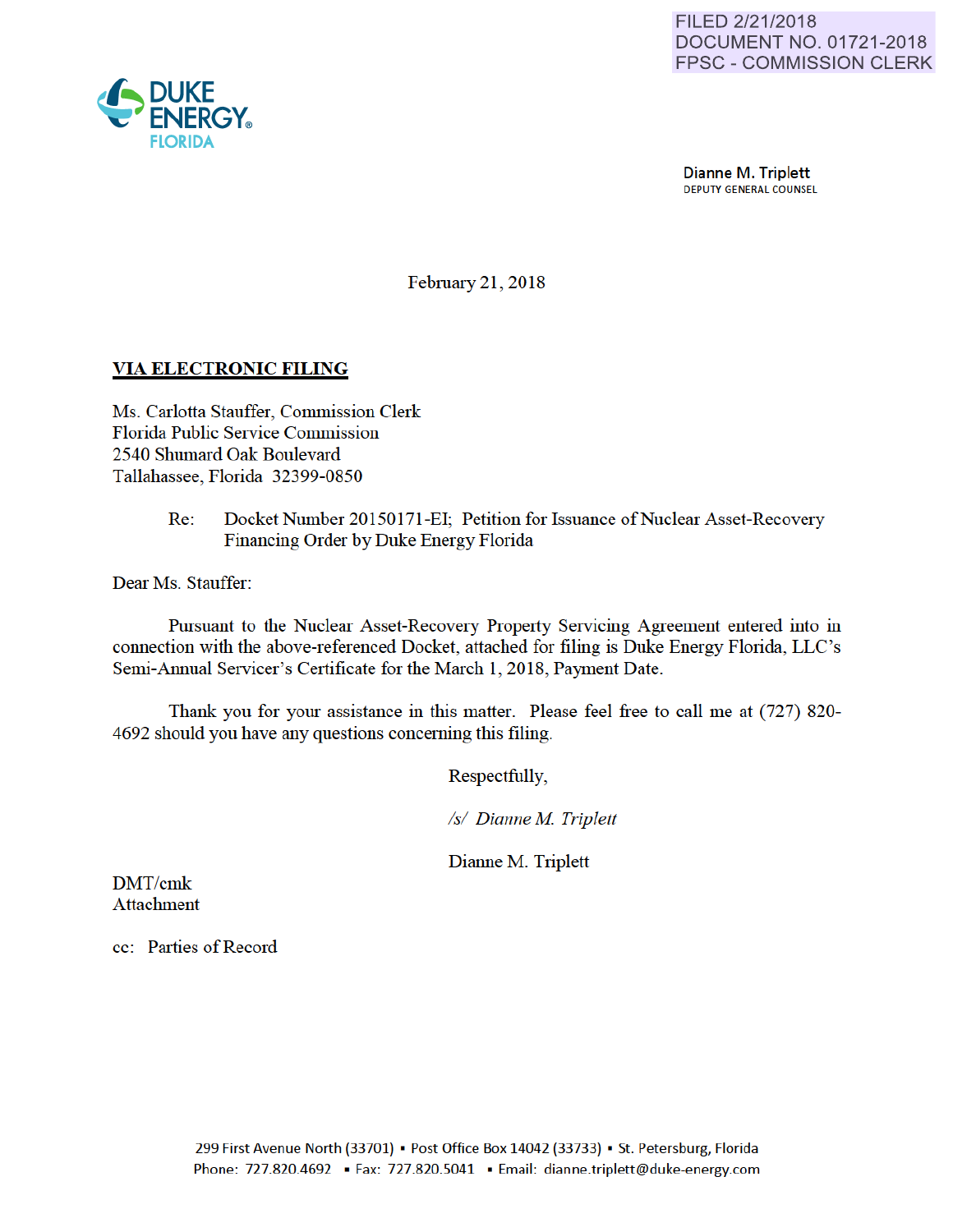

**Dianne M. Triplett**<br>DEPUTY GENERAL COUNSEL

Febmary 21, 2018

## VIA ELECTRONIC FILING

Ms. Carlotta Stauffer, Commission Clerk Florida Public Service Commission 2540 Shumard Oak Boulevard Tallahassee, Florida 32399-0850

> Re: Docket Number 20150171-EI; Petition for Issuance of Nuclear Asset-Recovery Financing Order by Duke Energy Florida

Dear Ms. Stauffer:

Pursuant to the Nuclear Asset-Recovery Property Servicing Agreement entered into in connection with the above-referenced Docket, attached for filing is Duke Energy Florida, LLC 's Semi-Annual Servicer's Certificate for the March 1, 2018, Payment Date.

Thank you for your assistance in this matter. Please feel free to call me at (727) 820- 4692 should you have any questions conceming this filing.

Respectfully,

*Is/ Dianne M Triplett* 

Dianne M. Triplett

DMT/cmk Attachment

cc: Parties of Record

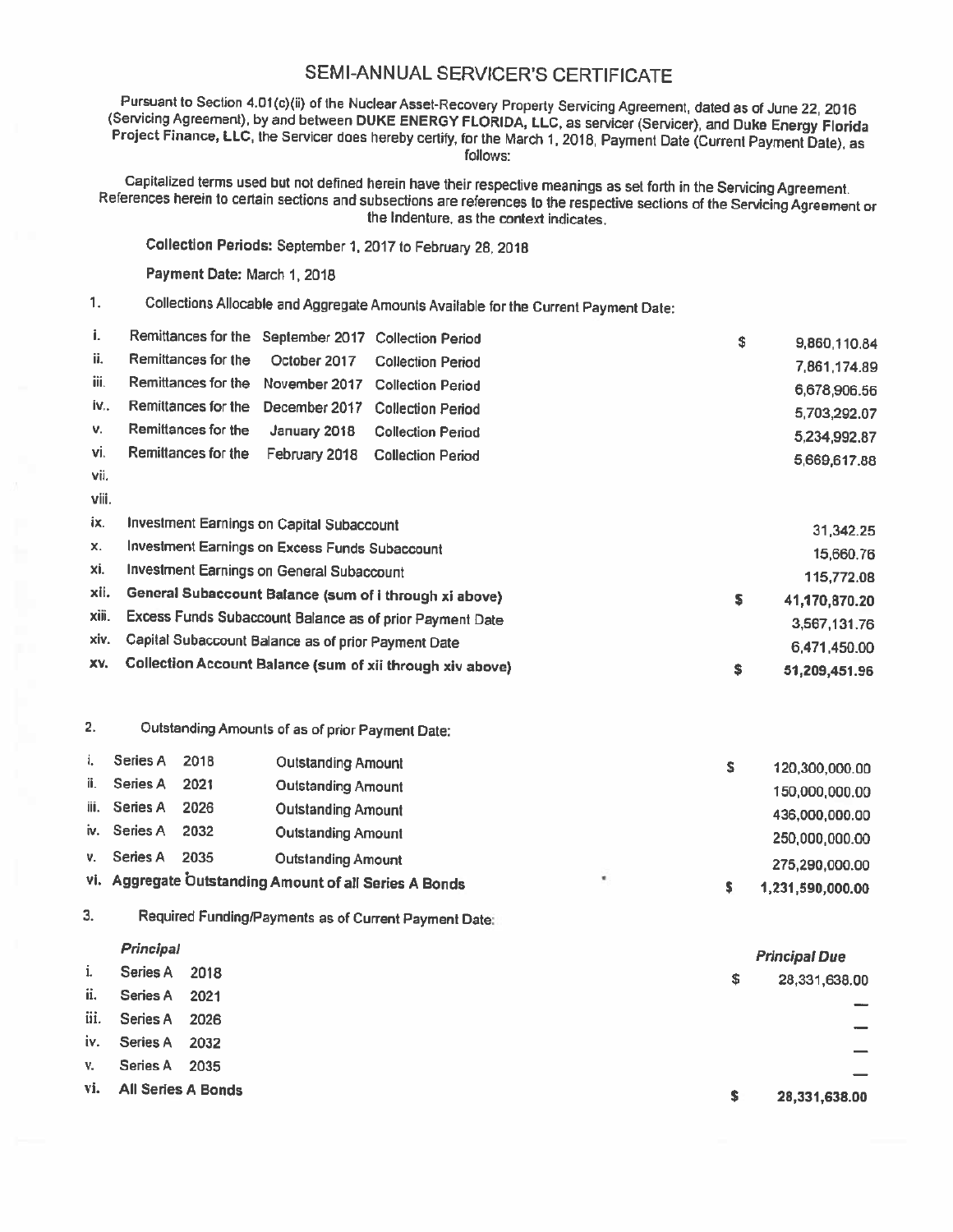## SEMI-ANNUAL SERVICER'S CERTIFICATE

Pursuant to Section 4.01(c)(ii) of the Nuclear Asset-Recovery Property Servicing Agreement, dated as of June 22, 2016<br>(Servicing Agreement), by and between DUKE ENERGY FLORIDA, LLC, as servicer (Servicer), and Duke Energy

Capitalized terms used but not defined herein have their respective meanings as set forth in the Servicing Agreement.<br>References herein to certain sections and subsections are references to the respective sections of the S

Collection Periods: September 1, 2017 to February 28, <sup>2018</sup>

Payment Date: March 1, 2018

1. Collections Allocable and Aggregate Amounts Available for the Current Payment Date:

| i.    | Remittances for the September 2017 Collection Period |              |                          | \$<br>9,860,110.84 |
|-------|------------------------------------------------------|--------------|--------------------------|--------------------|
| ii.   | Remittances for the October 2017                     |              | <b>Collection Period</b> | 7,861,174.89       |
| iii.  | Remittances for the November 2017 Collection Period  |              |                          | 6,678,906.56       |
| iv    | Remittances for the December 2017 Collection Period  |              |                          | 5,703,292.07       |
| v.    | Remittances for the                                  | January 2018 | <b>Collection Period</b> | 5,234,992.87       |
| vi.   | Remittances for the February 2018 Collection Period  |              |                          | 5,669,617.88       |
| vii.  |                                                      |              |                          |                    |
| viii. |                                                      |              |                          |                    |

| ix.   | Investment Earnings on Capital Subaccount                 | 31.342.25     |
|-------|-----------------------------------------------------------|---------------|
| х.    | Investment Earnings on Excess Funds Subaccount            | 15,660.76     |
| xi.   | Investment Earnings on General Subaccount                 | 115,772.08    |
| xii.  | General Subaccount Balance (sum of i through xi above)    | 41,170,870.20 |
| xiii. | Excess Funds Subaccount Balance as of prior Payment Date  | 3,567,131.76  |
|       | xiv. Capital Subaccount Balance as of prior Payment Date  | 6,471,450.00  |
| XV.   | Collection Account Balance (sum of xii through xiv above) | 51,209,451.96 |

|  | Outstanding Amounts of as of prior Payment Date: |  |  |  |  |  |  |
|--|--------------------------------------------------|--|--|--|--|--|--|
|--|--------------------------------------------------|--|--|--|--|--|--|

|      | Series A     | 2018 | <b>Outstanding Amount</b>                              |   | 120,300,000.00   |
|------|--------------|------|--------------------------------------------------------|---|------------------|
| ii.  | Series A     | 2021 | <b>Outstanding Amount</b>                              |   | 150,000,000.00   |
| iii. | Series A     | 2026 | <b>Outstanding Amount</b>                              |   | 436,000,000.00   |
|      | iv. Series A | 2032 | <b>Outstanding Amount</b>                              |   | 250,000,000.00   |
| V.   | Series A     | 2035 | <b>Outstanding Amount</b>                              |   | 275,290,000.00   |
|      |              |      | vi. Aggregate Outstanding Amount of all Series A Bonds | ٠ | 1,231,590,000.00 |

3. Required Funding/Payments as of Current Payment Date:

|      | Principal          |      |   | <b>Principal Due</b> |
|------|--------------------|------|---|----------------------|
| i.   | Series A           | 2018 | s | 28,331,638.00        |
| ii.  | Series A           | 2021 |   |                      |
| iii. | Series A           | 2026 |   |                      |
| iv.  | Series A           | 2032 |   |                      |
| V.   | Series A           | 2035 |   |                      |
| vi.  | All Series A Bonds |      |   |                      |
|      |                    |      | s | 28,331,638.00        |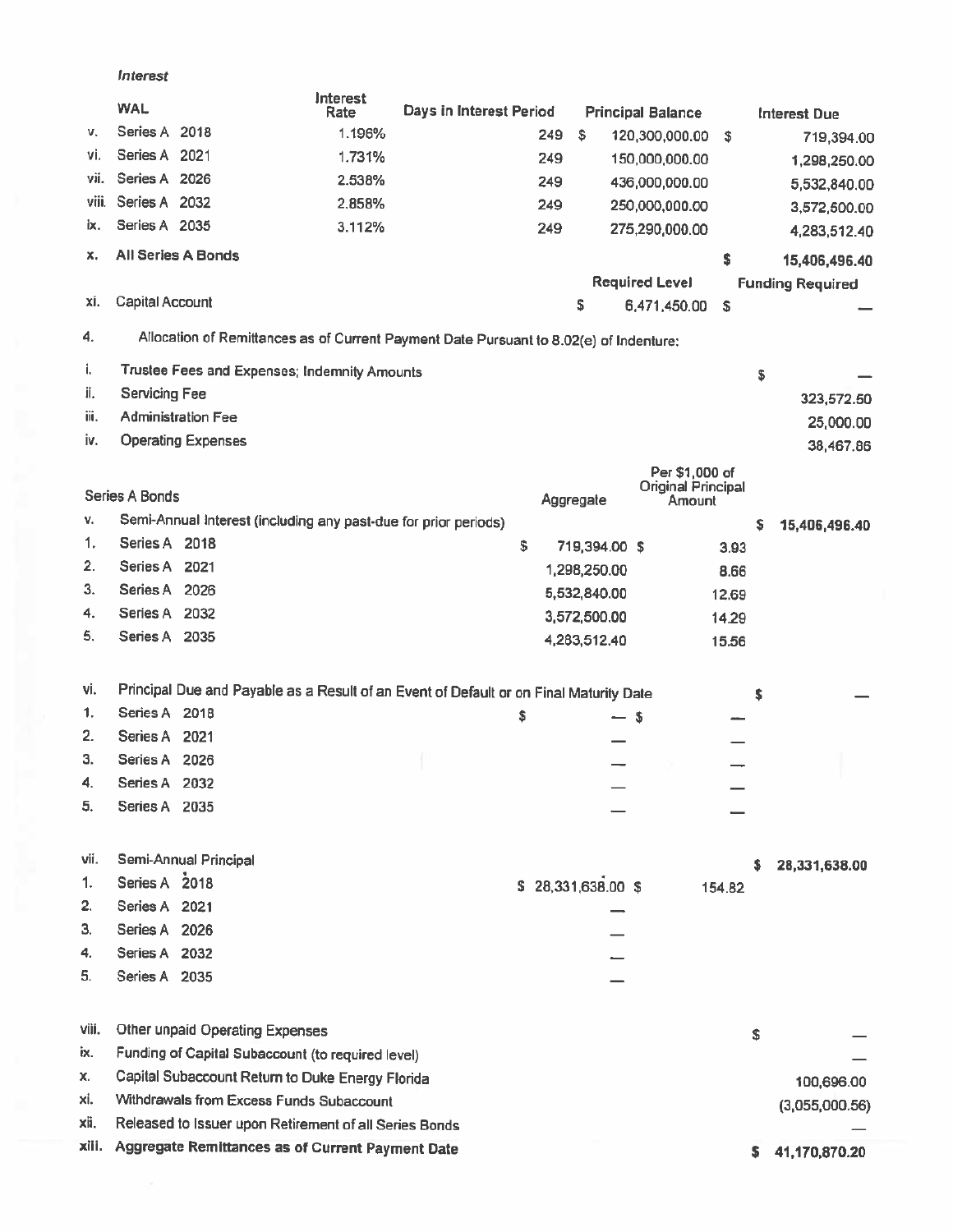|          | Interest        |                                                                 |                  |                                                                                        |     |                     |      |                                      |        |    |                         |
|----------|-----------------|-----------------------------------------------------------------|------------------|----------------------------------------------------------------------------------------|-----|---------------------|------|--------------------------------------|--------|----|-------------------------|
|          | <b>WAL</b>      |                                                                 | Interest<br>Rate | Days in Interest Period                                                                |     |                     |      | <b>Principal Balance</b>             |        |    | Interest Due            |
| v.       | Series A 2018   |                                                                 | 1.196%           |                                                                                        | 249 | \$                  |      | 120,300,000.00                       | \$     |    | 719,394.00              |
| ٧i.      | Series A 2021   |                                                                 | 1.731%           |                                                                                        | 249 |                     |      | 150,000,000.00                       |        |    | 1,298,250.00            |
| vii.     | Series A 2026   |                                                                 | 2.538%           |                                                                                        | 249 |                     |      | 436,000,000.00                       |        |    | 5,532,840.00            |
| viii.    | Series A 2032   |                                                                 | 2.858%           |                                                                                        | 249 |                     |      | 250,000,000.00                       |        |    | 3,572,500.00            |
| ix.      | Series A 2035   |                                                                 | 3.112%           |                                                                                        | 249 |                     |      | 275,290,000.00                       |        |    | 4,283,512.40            |
| x.       |                 | All Series A Bonds                                              |                  |                                                                                        |     |                     |      |                                      | \$     |    | 15,406,496.40           |
|          |                 |                                                                 |                  |                                                                                        |     |                     |      | <b>Required Level</b>                |        |    | <b>Funding Required</b> |
| xi.      | Capital Account |                                                                 |                  |                                                                                        |     | \$                  |      | 6,471,450.00                         | \$     |    |                         |
| 4.       |                 |                                                                 |                  | Allocation of Remittances as of Current Payment Date Pursuant to 8.02(e) of Indenture: |     |                     |      |                                      |        |    |                         |
| i.       |                 | Trustee Fees and Expenses; Indemnity Amounts                    |                  |                                                                                        |     |                     |      |                                      |        | \$ |                         |
| ii.      | Servicing Fee   |                                                                 |                  |                                                                                        |     |                     |      |                                      |        |    | 323,572.50              |
| iii.     |                 | <b>Administration Fee</b>                                       |                  |                                                                                        |     |                     |      |                                      |        |    | 25,000.00               |
| iv.      |                 | <b>Operating Expenses</b>                                       |                  |                                                                                        |     |                     |      |                                      |        |    | 38,467.86               |
|          |                 |                                                                 |                  |                                                                                        |     |                     |      | Per \$1,000 of<br>Original Principal |        |    |                         |
|          | Series A Bonds  |                                                                 |                  |                                                                                        |     | Aggregate           |      | Amount                               |        |    |                         |
| v.       |                 | Semi-Annual Interest (including any past-due for prior periods) |                  |                                                                                        |     |                     |      |                                      |        | \$ | 15,406,496.40           |
| 1.       | Series A 2018   |                                                                 |                  |                                                                                        | \$  | 719,394.00 \$       |      |                                      | 3.93   |    |                         |
| 2.       | Series A 2021   |                                                                 |                  |                                                                                        |     | 1,298,250.00        |      |                                      | 8.66   |    |                         |
| 3.       | Series A 2026   |                                                                 |                  |                                                                                        |     | 5,532,840.00        |      |                                      | 12.69  |    |                         |
| 4.<br>5. | Series A 2032   |                                                                 |                  |                                                                                        |     | 3,572,500.00        |      |                                      | 14.29  |    |                         |
|          | Series A 2035   |                                                                 |                  |                                                                                        |     | 4,283,512.40        |      |                                      | 15.56  |    |                         |
| vi.      |                 |                                                                 |                  | Principal Due and Payable as a Result of an Event of Default or on Final Maturity Date |     |                     |      |                                      |        | s  |                         |
| 1.       | Series A 2018   |                                                                 |                  |                                                                                        | \$  |                     | $-5$ |                                      |        |    |                         |
| 2.       | Series A 2021   |                                                                 |                  |                                                                                        |     |                     |      |                                      |        |    |                         |
| З.       | Series A 2026   |                                                                 |                  |                                                                                        |     |                     |      |                                      |        |    |                         |
| 4.       | Series A 2032   |                                                                 |                  |                                                                                        |     |                     |      |                                      |        |    |                         |
| 5.       | Series A 2035   |                                                                 |                  |                                                                                        |     |                     |      |                                      |        |    |                         |
| vii.     |                 | Semi-Annual Principal                                           |                  |                                                                                        |     |                     |      |                                      |        |    | 28,331,638.00           |
| 1.       | Series A 2018   |                                                                 |                  |                                                                                        |     | \$ 28,331,638.00 \$ |      |                                      | 154.82 |    |                         |
| 2.       | Series A 2021   |                                                                 |                  |                                                                                        |     |                     |      |                                      |        |    |                         |
| З.       | Series A 2026   |                                                                 |                  |                                                                                        |     |                     |      |                                      |        |    |                         |
| 4.       | Series A 2032   |                                                                 |                  |                                                                                        |     |                     |      |                                      |        |    |                         |
| 5.       | Series A 2035   |                                                                 |                  |                                                                                        |     |                     |      |                                      |        |    |                         |
| viii.    |                 | Other unpaid Operating Expenses                                 |                  |                                                                                        |     |                     |      |                                      |        | s  |                         |
| ix.      |                 | Funding of Capital Subaccount (to required level)               |                  |                                                                                        |     |                     |      |                                      |        |    |                         |
| х.       |                 | Capital Subaccount Return to Duke Energy Florida                |                  |                                                                                        |     |                     |      |                                      |        |    | 100,696.00              |
| xi.      |                 | Withdrawals from Excess Funds Subaccount                        |                  |                                                                                        |     |                     |      |                                      |        |    | (3,055,000.56)          |
| xii.     |                 | Released to Issuer upon Retirement of all Series Bonds          |                  |                                                                                        |     |                     |      |                                      |        |    |                         |
| xiii.    |                 | Aggregate Remittances as of Current Payment Date                |                  |                                                                                        |     |                     |      |                                      |        | s  | 41,170,870.20           |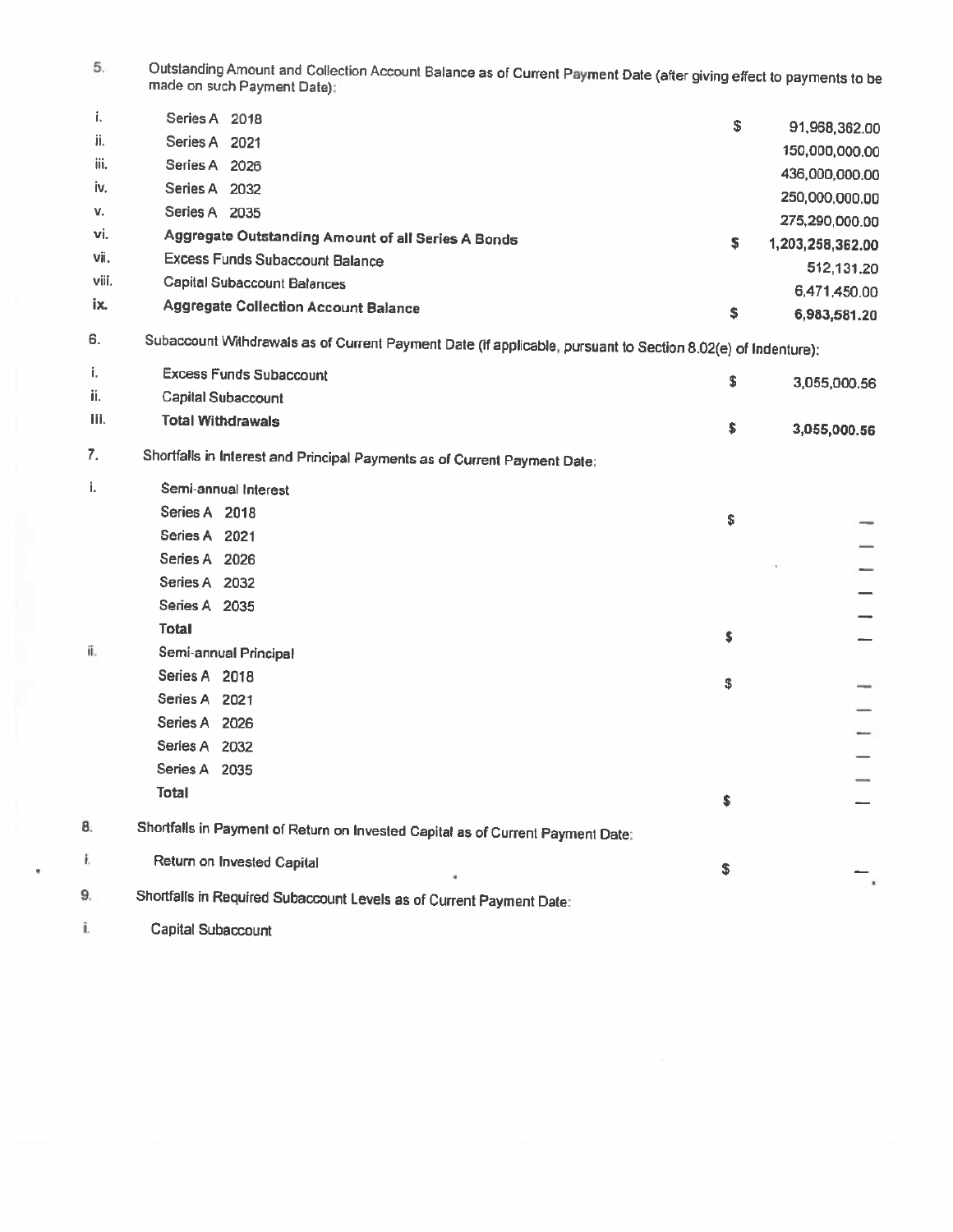5. Outstanding Amount and Collection Account Balance as of Current Payment Date (after giving effect to payments to be<br>made on such Payment Date):

|       | Series A 2018                                      | \$ | 91,968,362.00    |
|-------|----------------------------------------------------|----|------------------|
| ii.   | Series A 2021                                      |    | 150,000,000.00   |
| iii.  | Series A<br>2026                                   |    |                  |
| iv.   | Series A<br>2032                                   |    | 436,000,000.00   |
|       |                                                    |    | 250,000,000.00   |
| v.    | Series A<br>2035                                   |    | 275,290,000.00   |
| vi.   | Aggregate Outstanding Amount of all Series A Bonds | s  | 1,203,258,362.00 |
| vii.  | <b>Excess Funds Subaccount Balance</b>             |    | 512,131.20       |
| viii. | Capital Subaccount Balances                        |    |                  |
| ix.   |                                                    |    | 6,471,450.00     |
|       | <b>Aggregate Collection Account Balance</b>        | \$ | 6,983,581.20     |

6. Subaccount Withdrawals as of Current Payment Date [If applicable, pursuant to Section 8.02(e) of Indenture):

|      | Excess Funds Subaccount  | 3,055,000.56 |
|------|--------------------------|--------------|
| ii.  | Capital Subaccount       |              |
| jii. | <b>Total Withdrawals</b> | 3,055,000.56 |

7. Shortfalls in Interest and Principal Payments as of Current Payment Date:

| i.  | Semi-annual Interest                                                            |                |
|-----|---------------------------------------------------------------------------------|----------------|
|     | Series A 2018                                                                   | \$<br>-        |
|     | Series A 2021                                                                   |                |
|     | Series A 2026                                                                   |                |
|     | Series A 2032                                                                   |                |
|     | Series A 2035                                                                   |                |
|     | Total                                                                           | \$             |
| ii. | Semi-annual Principal                                                           |                |
|     | Series A 2018                                                                   | \$             |
|     | Series A 2021                                                                   |                |
|     | Series A 2026                                                                   |                |
|     | Series A 2032                                                                   |                |
|     | Series A 2035                                                                   |                |
|     | <b>Total</b>                                                                    | \$             |
| 8.  |                                                                                 |                |
|     | Shortfalls in Payment of Return on Invested Capital as of Current Payment Date: |                |
| Î.  | Return on Invested Capital                                                      | \$             |
| 9.  | Shortfalls in Required Subaccount Levels as of Current Payment Date:            | $\blacksquare$ |
|     |                                                                                 |                |

i. Capital Subaccount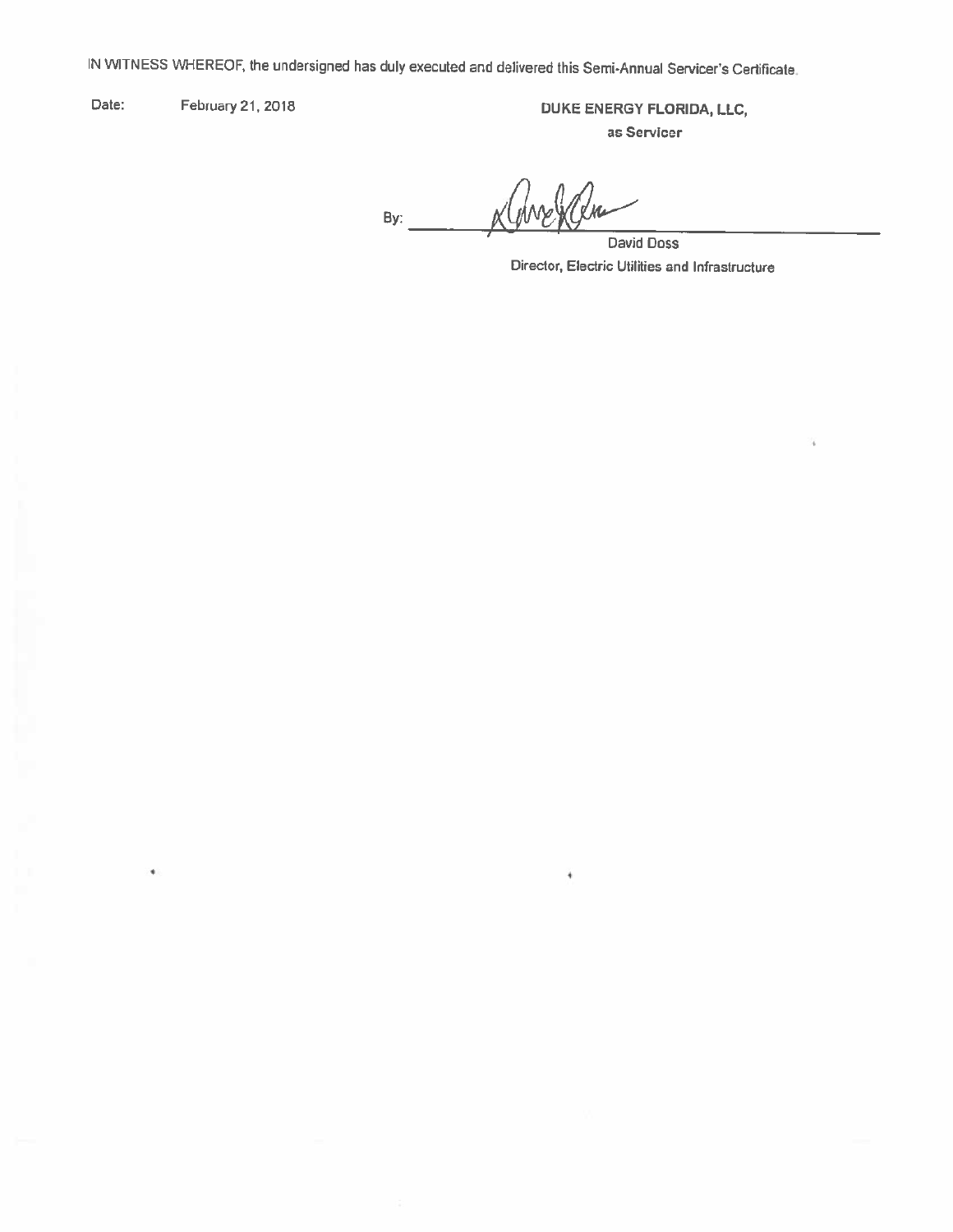IN WITNESS VVHEREOF. the undersigned has duly executed and delivered this Semi-Annual Servicer's Certificate

Date: February 21, 2018 **DUKE ENERGY FLORIDA, LLC,** as Servlcer

By: By:~t<~fki~~---

ł

David Doss Director, Electric Utilities and Infrastructure